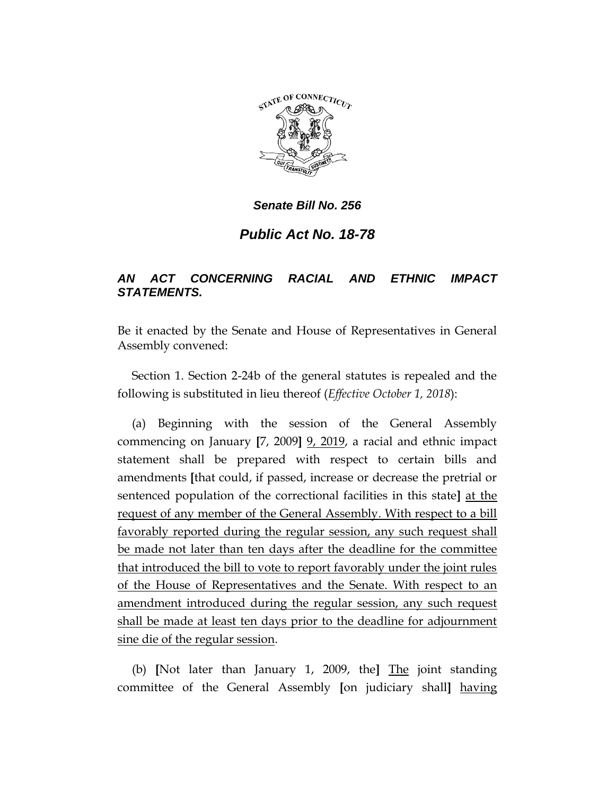

*Senate Bill No. 256*

*Public Act No. 18-78*

## *AN ACT CONCERNING RACIAL AND ETHNIC IMPACT STATEMENTS.*

Be it enacted by the Senate and House of Representatives in General Assembly convened:

Section 1. Section 2-24b of the general statutes is repealed and the following is substituted in lieu thereof (*Effective October 1, 2018*):

(a) Beginning with the session of the General Assembly commencing on January **[**7, 2009**]** 9, 2019, a racial and ethnic impact statement shall be prepared with respect to certain bills and amendments **[**that could, if passed, increase or decrease the pretrial or sentenced population of the correctional facilities in this state**]** at the request of any member of the General Assembly. With respect to a bill favorably reported during the regular session, any such request shall be made not later than ten days after the deadline for the committee that introduced the bill to vote to report favorably under the joint rules of the House of Representatives and the Senate. With respect to an amendment introduced during the regular session, any such request shall be made at least ten days prior to the deadline for adjournment sine die of the regular session.

(b) **[**Not later than January 1, 2009, the**]** The joint standing committee of the General Assembly **[**on judiciary shall**]** having